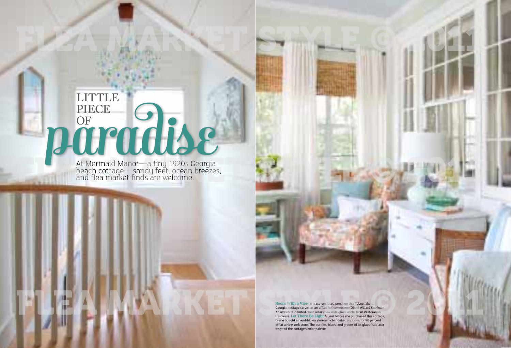

# PIECE OF OF OUT piece OF

At Mermaid Manor—a tiny 1920s Georgia beach cottage—sandy feet, ocean breezes, and flea market finds are welcome.

> Room With a View A glass-enclosed porch on this Tybee Island, Georgia, cottage serves as an office for homeowner Diane Willard Kaufman. An old white-painted chest wears new milk glass knobs from Restoration Hardware. Let There Be Light A year before she purchased this cottage, Diane bought a hand-blown Venetian chandelier, *opposite,* for 90 percent off at a New York store. The purples, blues, and greens of its glass fruit later inspired the cottage's color palette.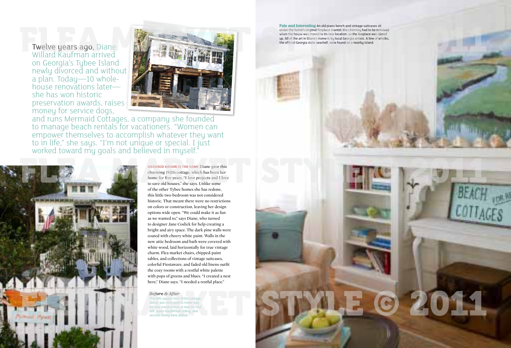

Twelve years ago, Diane Willard Kaufman arrived on Georgia's Tybee Island newly divorced and without a plan. Today—10 wholehouse renovations later she has won historic preservation awards, raises money for service dogs,



and runs Mermaid Cottages, a company she founded to manage beach rentals for vacationers. "Women can empower themselves to accomplish whatever they want to in life," she says. "I'm not unique or special. I just worked toward my goals and believed in myself."

Pale and Interesting An old piano bench and vintage suitcases sit under the home's original fireplace mantel; the chimney had to be removed when the house was moved to its new location, so the fireplace was closed up. All of the art in Diane's home is by local Georgia artists. A line of whelks, the official Georgia state seashell, were found on a nearby island.



**mermaid manor is the name** Diane gave this charming 1920s cottage, which has been her home for five years. "I love projects and I love to save old houses," she says. Unlike some of the other Tybee homes she has redone, this little two-bedroom was not considered historic. That meant there were no restrictions on colors or construction, leaving her design options wide open. "We could make it as fun as we wanted to," says Diane, who turned to designer Jane Coslick for help creating a bright and airy space. The dark pine walls were coated with cheery white paint. Walls in the new attic bedroom and bath were covered with white wood, laid horizontally for true vintage charm. Flea market chairs, chipped-paint tables, and collections of vintage suitcases, colorful Fiestaware, and faded old linens outfit the cozy rooms with a restful white palette with pops of greens and blues. "I created a nest here," Diane says. "I needed a restful place."

*Before & After* The 800-square-foot 1920s cottage. *above,* was relocated to make way for new construction. A new tin roof, *left,* green HardiPlank siding, and second storey were added.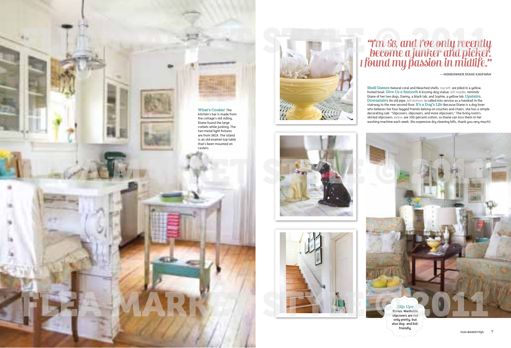# "I'm 56, and I've only recently become a junker and picker. I found my passion in midlife."

**—homeowner diane Kaufman**

Shell Games Natural coral and bleached shells, *top left,* are piled in a yellow, footed bowl. Give Us a Smooch A kissing-dog statue, *left middle,* reminds Diane of her two dogs, Danny, a black lab, and Sophie, a yellow lab. Upstairs, Downstairs An old pipe, *left bottom,* is called into service as a handrail in the stairway to the new second floor. It's a Dog's Life Because Diane is a dog lover who believes her four-legged friends belong on couches and chairs, she has a simple decorating rule: "Slipcovers, slipcovers, and more slipcovers." The living room's skirted slipcovers, *below,* are 100-percent cotton, so Diane can toss them in her washing machine each week. (No expensive dry cleaning bills, thank you very much!)











# *Slip Ups*

Bonus: Washable slipcovers are not only pretty, but also dog- and kidfriendly.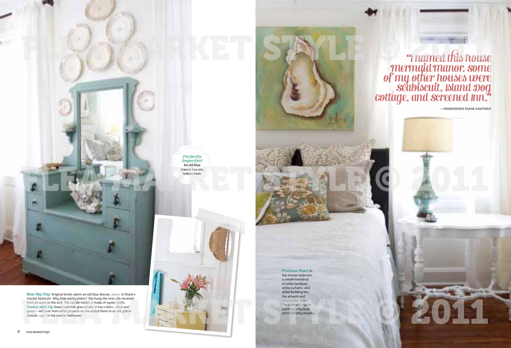



## Precious Pearl In

the master bedroom, a simple backdrop of white furniture, white curtains, and white bedding lets the artwork and accessories shine. The dramatic oyster painting is by local artist Bellamy Murphy.



**—homeowner diane Kaufman**



Blue Sky Day Original knobs adorn an old blue dresser, *above,* in Diane's master bedroom. Why hide pretty plates? She hung the ones she received from an aunt on the wall. The candle holder is made of oyster shells. Sunny-side Up Diane had milk glass knobs in two colors—blue and green—left over from other projects so she added them to an old yellow

dresser, *right,* in the master bathroom.